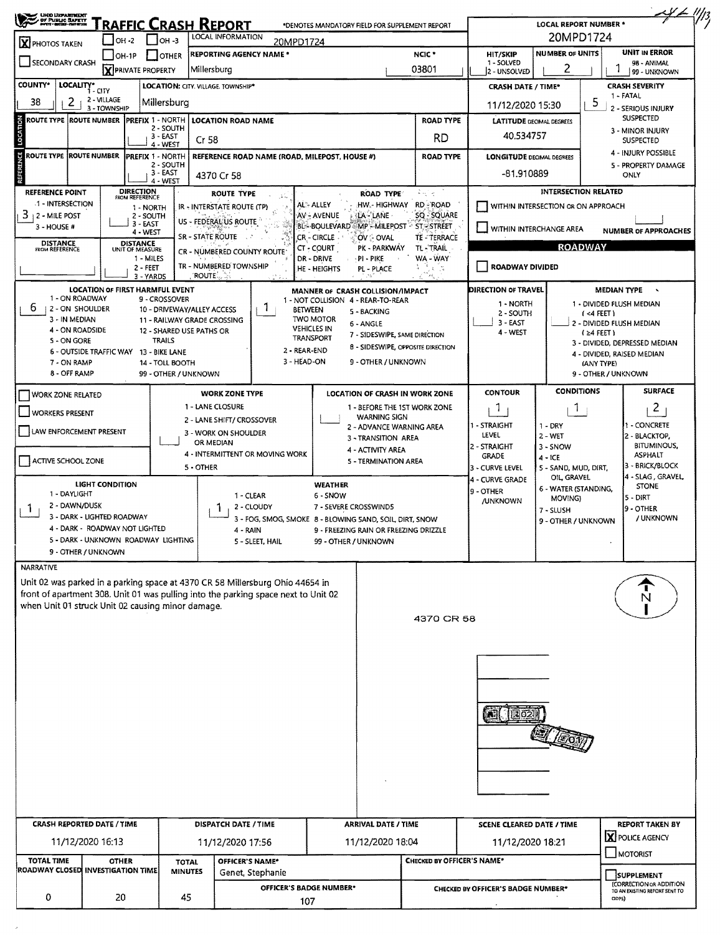| UNO USPARTNERT                                                                                                     |                                                                          |                                    |                                |                                                                                    |                 |                                                                                 |                                                 |                                |                                           |                                                                   |                                          |                                                |  |  |  |
|--------------------------------------------------------------------------------------------------------------------|--------------------------------------------------------------------------|------------------------------------|--------------------------------|------------------------------------------------------------------------------------|-----------------|---------------------------------------------------------------------------------|-------------------------------------------------|--------------------------------|-------------------------------------------|-------------------------------------------------------------------|------------------------------------------|------------------------------------------------|--|--|--|
| RAFFIC CRASH REPORT<br>*DENOTES MANDATORY FIELD FOR SUPPLEMENT REPORT<br>LOCAL INFORMATION<br>$1$ ОН -3<br>I OH -2 |                                                                          |                                    |                                |                                                                                    |                 |                                                                                 |                                                 |                                | <b>LOCAL REPORT NUMBER *</b><br>20MPD1724 |                                                                   |                                          |                                                |  |  |  |
| X PHOTOS TAKEN                                                                                                     | 20MPD1724<br><b>REPORTING AGENCY NAME *</b><br>$IOH-1P$<br><b>JOTHER</b> |                                    |                                |                                                                                    |                 |                                                                                 |                                                 | NCIC <sup>+</sup>              | HIT/SKIP                                  | <b>NUMBER OF UNITS</b>                                            |                                          | <b>UNIT IN ERROR</b>                           |  |  |  |
| SECONDARY CRASH                                                                                                    |                                                                          | <b>X</b> PRIVATE PROPERTY          |                                | Millersburg                                                                        |                 |                                                                                 |                                                 | 03801                          | 1 - SOLVED<br>2 - UNSOLVED                | 2                                                                 | 98 - ANIMAL                              |                                                |  |  |  |
| <b>COUNTY*</b><br>LOCALITY*                                                                                        |                                                                          |                                    |                                | LOCATION: CITY. VILLAGE. TOWNSHIP*                                                 |                 |                                                                                 |                                                 |                                | <b>CRASH DATE / TIME*</b>                 |                                                                   |                                          | 99 - UNKNOWN<br><b>CRASH SEVERITY</b>          |  |  |  |
| 38                                                                                                                 | 1 - CITY<br>2 - VILLAGE                                                  |                                    |                                |                                                                                    |                 |                                                                                 |                                                 |                                |                                           |                                                                   |                                          | 1 - FATAL                                      |  |  |  |
| z                                                                                                                  | 3 - TOWNSHIP                                                             |                                    | Millersburg                    |                                                                                    |                 |                                                                                 |                                                 |                                | 11/12/2020 15:30                          |                                                                   | ь                                        | 2 - SERIOUS INJURY                             |  |  |  |
| <b>ROUTE TYPE ROUTE NUMBER</b>                                                                                     |                                                                          | <b>PREFIX 1 - NORTH</b>            | 2 - SOUTH                      | <b>LOCATION ROAD NAME</b>                                                          |                 |                                                                                 |                                                 | <b>ROAD TYPE</b>               |                                           | <b>LATITUDE DECIMAL DEGREES</b>                                   |                                          | <b>SUSPECTED</b><br>3 - MINOR INJURY           |  |  |  |
|                                                                                                                    |                                                                          |                                    | $3 - EAST$<br>4 - WEST         | Cr 58                                                                              |                 |                                                                                 |                                                 | RD                             | 40.534757                                 |                                                                   |                                          | <b>SUSPECTED</b>                               |  |  |  |
| ROUTE TYPE ROUTE NUMBER                                                                                            |                                                                          | <b>IPREFIX 1 - NORTH</b>           |                                |                                                                                    |                 | REFERENCE ROAD NAME (ROAD, MILEPOST, HOUSE #)                                   |                                                 | <b>ROAD TYPE</b>               | <b>LONGITUDE DECIMAL DEGREES</b>          |                                                                   |                                          | 4 - INJURY POSSIBLE                            |  |  |  |
|                                                                                                                    |                                                                          |                                    | 2 - SOUTH<br>3 - EAST          | 4370 Cr 58                                                                         |                 |                                                                                 |                                                 |                                | -81.910889                                |                                                                   |                                          | 5 - PROPERTY DAMAGE<br>ONLY                    |  |  |  |
|                                                                                                                    |                                                                          |                                    | 4 - WEST                       |                                                                                    |                 |                                                                                 |                                                 |                                |                                           |                                                                   |                                          |                                                |  |  |  |
| <b>REFERENCE POINT</b><br>1 - INTERSECTION                                                                         |                                                                          | <b>DIRECTION</b><br>FROM REFERENCE |                                | <b>ROUTE TYPE</b>                                                                  |                 | AL:- ALLEY                                                                      | <b>ROAD TYPE</b><br>HW - HIGHWAY                | મેલી તા<br><b>RD-ROAD</b>      |                                           | <b>INTERSECTION RELATED</b><br>WITHIN INTERSECTION OR ON APPROACH |                                          |                                                |  |  |  |
| $3 + 2 -$ MILE POST                                                                                                |                                                                          | 1 - NORTH<br>2 - SOUTH             |                                | IR - INTERSTATE ROUTE (TP)                                                         |                 | AV - AVENUE                                                                     | LA - LANE                                       | SQ - SQUARE                    |                                           |                                                                   |                                          |                                                |  |  |  |
| $3 - HOUSE H$                                                                                                      |                                                                          | 3 - EAST<br>4 - WEST               |                                | US - FEDERALIUS ROUTE                                                              |                 | BL-BOULEVARD MP MILEPOST ST-STREET                                              |                                                 |                                | WITHIN INTERCHANGE AREA                   |                                                                   |                                          | <b>NUMBER OF APPROACHES</b>                    |  |  |  |
| <b>DISTANCE</b><br>FROM REFERENCE                                                                                  |                                                                          | DISTANCE<br>UNIT OF MEASURE        |                                | <b>SR - STATE ROUTE</b>                                                            |                 | CR - CIRCLE<br>CT - COURT                                                       | OV : OVAL<br>PK - PARKWAY                       | <b>TE-TERRACE</b><br>TL-'TRAIL |                                           |                                                                   | <b>ROADWAY</b>                           |                                                |  |  |  |
|                                                                                                                    |                                                                          | 1 - MILES                          |                                | CR - NUMBERED COUNTY ROUTE                                                         |                 | DR - DRIVE                                                                      | PI - PIKE                                       | WA - WAY                       |                                           |                                                                   |                                          |                                                |  |  |  |
|                                                                                                                    |                                                                          | 2 - FEET<br>3 - YARDS              |                                | TR - NUMBERED TOWNSHIP<br>′ROUTEੰ…ੇ⊹                                               |                 | HE - HEIGHTS                                                                    | PL - PLACE                                      | لائي له ر<br>そこ残し              | <b>ROADWAY DIVIDED</b>                    |                                                                   |                                          |                                                |  |  |  |
|                                                                                                                    | <b>LOCATION OF FIRST HARMFUL EVENT</b>                                   |                                    |                                |                                                                                    |                 | MANNER OF CRASH COLLISION/IMPACT                                                |                                                 |                                | DIRECTION OF TRAVEL                       |                                                                   |                                          | <b>MEDIAN TYPE</b><br>$\overline{\phantom{a}}$ |  |  |  |
| 1 - ON ROADWAY<br>ь<br>2 - ON SHOULDER                                                                             |                                                                          |                                    | 9 - CROSSOVER                  |                                                                                    | 1.              | 1 - NOT COLLISION 4 - REAR-TO-REAR                                              |                                                 |                                | 1 - NORTH                                 |                                                                   |                                          | 1 - DIVIDED FLUSH MEDIAN                       |  |  |  |
| 3 - IN MEDIAN                                                                                                      |                                                                          |                                    |                                | 10 - DRIVEWAY/ALLEY ACCESS<br>11 - RAILWAY GRADE CROSSING                          |                 | <b>BETWEEN</b><br><b>TWO MOTOR</b>                                              | 5 - BACKING                                     |                                | 2 - SOUTH<br>3 - EAST                     |                                                                   | $($ <4 FEET)<br>2 - DIVIDED FLUSH MEDIAN |                                                |  |  |  |
| 4 - ON ROADSIDE                                                                                                    |                                                                          |                                    |                                | 12 - SHARED USE PATHS OR                                                           |                 | <b>VEHICLES IN</b><br><b>TRANSPORT</b>                                          | 6 - ANGLE<br>7 - SIDESWIPE, SAME DIRECTION      |                                | 4 - WEST                                  |                                                                   |                                          |                                                |  |  |  |
| 5 - ON GORE                                                                                                        | 6 - OUTSIDE TRAFFIC WAY 13 - BIKE LANE                                   |                                    | <b>TRAILS</b>                  |                                                                                    |                 | 2 - REAR-END                                                                    | 8 - SIDESWIPE, OPPOSITE DIRECTION               |                                |                                           |                                                                   |                                          | 3 - DIVIDED, DEPRESSED MEDIAN                  |  |  |  |
| 7 - ON RAMP                                                                                                        |                                                                          |                                    | 14 - TOLL BOOTH                |                                                                                    |                 | 3 - HEAD-ON                                                                     | 9 - OTHER / UNKNOWN                             |                                |                                           |                                                                   | (ANY TYPE)                               | 4 - DIVIDED, RAISED MEDIAN                     |  |  |  |
| 8 - OFF RAMP                                                                                                       |                                                                          |                                    | 99 - OTHER / UNKNOWN           |                                                                                    |                 |                                                                                 |                                                 |                                |                                           |                                                                   | 9 - OTHER / UNKNOWN                      |                                                |  |  |  |
| <b>WORK ZONE RELATED</b>                                                                                           |                                                                          |                                    |                                | <b>WORK ZONE TYPE</b>                                                              |                 |                                                                                 | LOCATION OF CRASH IN WORK ZONE                  |                                | <b>CONTOUR</b>                            | <b>CONDITIONS</b>                                                 |                                          | <b>SURFACE</b>                                 |  |  |  |
| <b>WORKERS PRESENT</b>                                                                                             |                                                                          |                                    |                                | 1 - LANE CLOSURE<br>1 - BEFORE THE 1ST WORK ZONE                                   |                 |                                                                                 |                                                 |                                | -1                                        | Т.                                                                |                                          | 2                                              |  |  |  |
|                                                                                                                    |                                                                          |                                    |                                | 2 - LANE SHIFT/ CROSSOVER                                                          |                 |                                                                                 | <b>WARNING SIGN</b><br>2 - ADVANCE WARNING AREA |                                | I - STRAIGHT                              | 1 - DRY                                                           |                                          | 1 - CONCRETE                                   |  |  |  |
| LAW ENFORCEMENT PRESENT                                                                                            |                                                                          |                                    |                                | 3 - WORK ON SHOULDER<br>OR MEDIAN                                                  |                 |                                                                                 | 3 - TRANSITION AREA                             |                                | LEVEL                                     | $2 - WET$                                                         |                                          | 2 - BLACKTOP,                                  |  |  |  |
|                                                                                                                    |                                                                          |                                    |                                | 4 - INTERMITTENT OR MOVING WORK                                                    |                 |                                                                                 | 4 - ACTIVITY AREA                               |                                | 2 - STRAIGHT<br><b>GRADE</b>              | 3 - SNOW<br>$4 - ICE$                                             |                                          | <b>BITUMINOUS,</b><br>ASPHALT                  |  |  |  |
| ACTIVE SCHOOL ZONE                                                                                                 |                                                                          |                                    |                                | 5 - OTHER                                                                          |                 |                                                                                 | 5 - TERMINATION AREA                            |                                | 3 - CURVE LEVEL                           | 5 - SAND, MUD, DIRT,                                              |                                          | 3 - BRICK/BLOCK                                |  |  |  |
|                                                                                                                    | <b>LIGHT CONDITION</b>                                                   |                                    |                                |                                                                                    |                 | <b>WEATHER</b>                                                                  |                                                 |                                | 4 - CURVE GRADE                           | OIL GRAVEL<br>6 - WATER (STANDING,                                |                                          | 4 - SLAG , GRAVEL,<br><b>STONE</b>             |  |  |  |
| 1 - DAYLIGHT                                                                                                       |                                                                          |                                    |                                |                                                                                    | 1 - CLEAR       | 6 - SNOW                                                                        |                                                 |                                | 9 - OTHER<br><b>JUNKNOWN</b>              | MOVING)                                                           |                                          | 5 - DIRT                                       |  |  |  |
| 2 - DAWN/DUSK                                                                                                      | 3 - DARK - LIGHTED ROADWAY                                               |                                    |                                |                                                                                    | 2 - CLOUDY      | 7 - SEVERE CROSSWINDS<br>3 - FOG, SMOG, SMOKE 8 - BLOWING SAND, SOIL DIRT, SNOW |                                                 |                                |                                           | 7 - SLUSH                                                         |                                          | l9 - OTHER<br>/ UNKNOWN                        |  |  |  |
|                                                                                                                    | 4 - DARK - ROADWAY NOT LIGHTED                                           |                                    |                                | 4 - RAIN                                                                           |                 |                                                                                 | 9 - FREEZING RAIN OR FREEZING DRIZZLE           |                                |                                           | 9 - OTHER / UNKNOWN                                               |                                          |                                                |  |  |  |
|                                                                                                                    | 5 - DARK - UNKNOWN ROADWAY LIGHTING                                      |                                    |                                |                                                                                    | 5 - SLEET, HAIL | 99 - OTHER / UNKNOWN                                                            |                                                 |                                |                                           |                                                                   |                                          |                                                |  |  |  |
|                                                                                                                    | 9 - OTHER / UNKNOWN                                                      |                                    |                                |                                                                                    |                 |                                                                                 |                                                 |                                |                                           |                                                                   |                                          |                                                |  |  |  |
| NARRATIVE                                                                                                          |                                                                          |                                    |                                | Unit 02 was parked in a parking space at 4370 CR 58 Millersburg Ohio 44654 in      |                 |                                                                                 |                                                 |                                |                                           |                                                                   |                                          |                                                |  |  |  |
|                                                                                                                    |                                                                          |                                    |                                | front of apartment 308. Unit 01 was pulling into the parking space next to Unit 02 |                 |                                                                                 |                                                 |                                |                                           |                                                                   |                                          | N                                              |  |  |  |
| when Unit 01 struck Unit 02 causing minor damage.                                                                  |                                                                          |                                    |                                |                                                                                    |                 |                                                                                 |                                                 |                                |                                           |                                                                   |                                          |                                                |  |  |  |
|                                                                                                                    |                                                                          |                                    |                                |                                                                                    |                 |                                                                                 |                                                 | 4370 CR 58                     |                                           |                                                                   |                                          |                                                |  |  |  |
|                                                                                                                    |                                                                          |                                    |                                |                                                                                    |                 |                                                                                 |                                                 |                                |                                           |                                                                   |                                          |                                                |  |  |  |
|                                                                                                                    |                                                                          |                                    |                                |                                                                                    |                 |                                                                                 |                                                 |                                |                                           |                                                                   |                                          |                                                |  |  |  |
|                                                                                                                    |                                                                          |                                    |                                |                                                                                    |                 |                                                                                 |                                                 |                                |                                           |                                                                   |                                          |                                                |  |  |  |
|                                                                                                                    |                                                                          |                                    |                                |                                                                                    |                 |                                                                                 |                                                 |                                |                                           |                                                                   |                                          |                                                |  |  |  |
|                                                                                                                    |                                                                          |                                    |                                |                                                                                    |                 |                                                                                 |                                                 |                                |                                           |                                                                   |                                          |                                                |  |  |  |
|                                                                                                                    |                                                                          |                                    |                                |                                                                                    |                 |                                                                                 |                                                 |                                |                                           |                                                                   |                                          |                                                |  |  |  |
|                                                                                                                    |                                                                          |                                    |                                |                                                                                    |                 |                                                                                 |                                                 |                                |                                           |                                                                   |                                          |                                                |  |  |  |
|                                                                                                                    |                                                                          |                                    |                                |                                                                                    |                 |                                                                                 |                                                 |                                |                                           |                                                                   |                                          |                                                |  |  |  |
|                                                                                                                    |                                                                          |                                    |                                |                                                                                    |                 |                                                                                 |                                                 |                                |                                           |                                                                   |                                          |                                                |  |  |  |
|                                                                                                                    |                                                                          |                                    |                                |                                                                                    |                 |                                                                                 |                                                 |                                |                                           |                                                                   |                                          |                                                |  |  |  |
|                                                                                                                    |                                                                          |                                    |                                |                                                                                    |                 |                                                                                 |                                                 |                                |                                           |                                                                   |                                          |                                                |  |  |  |
|                                                                                                                    |                                                                          |                                    |                                |                                                                                    |                 |                                                                                 |                                                 |                                |                                           |                                                                   |                                          |                                                |  |  |  |
| <b>CRASH REPORTED DATE / TIME</b>                                                                                  |                                                                          |                                    |                                | DISPATCH DATE / TIME                                                               |                 |                                                                                 | <b>ARRIVAL DATE / TIME</b>                      |                                | <b>SCENE CLEARED DATE / TIME</b>          |                                                                   |                                          | <b>REPORT TAKEN BY</b>                         |  |  |  |
|                                                                                                                    | 11/12/2020 16:13                                                         |                                    |                                | 11/12/2020 17:56                                                                   |                 |                                                                                 | 11/12/2020 18:04                                |                                | 11/12/2020 18:21                          |                                                                   |                                          | <b>X</b> POLICE AGENCY                         |  |  |  |
| <b>TOTAL TIME</b>                                                                                                  | <b>OTHER</b>                                                             |                                    |                                | OFFICER'S NAME*                                                                    |                 |                                                                                 |                                                 |                                |                                           |                                                                   |                                          | <b>MOTORIST</b>                                |  |  |  |
| ROADWAY CLOSED INVESTIGATION TIME                                                                                  |                                                                          |                                    | <b>TOTAL</b><br><b>MINUTES</b> | Genet, Stephanie                                                                   |                 | CHECKED BY OFFICER'S NAME*                                                      |                                                 |                                |                                           |                                                                   | SUPPLEMENT                               |                                                |  |  |  |
|                                                                                                                    |                                                                          |                                    |                                |                                                                                    |                 | OFFICER'S BADGE NUMBER*                                                         |                                                 |                                | <b>CHECKED BY OFFICER'S BADGE NUMBER*</b> |                                                                   |                                          | (CORRECTION OR ADDITION                        |  |  |  |
| 0                                                                                                                  | 20                                                                       |                                    | 45                             |                                                                                    |                 | 107                                                                             |                                                 |                                |                                           |                                                                   |                                          | TO AN EXISTING REPORT SENT TO<br>ODPS)         |  |  |  |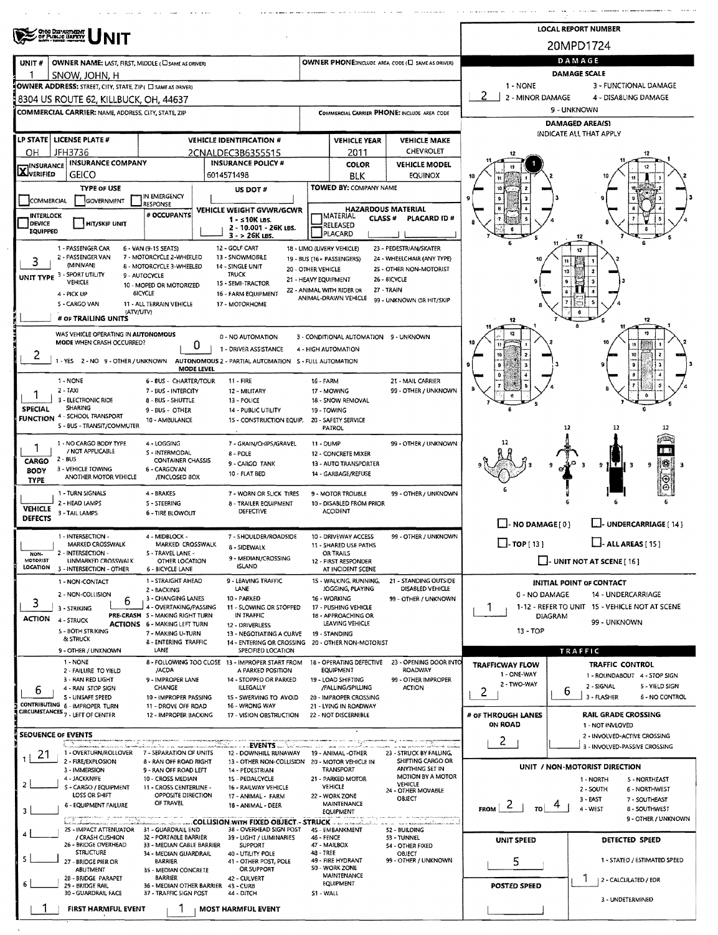|                                                           | OHO DEPARTMENT<br>OF PUBLIC BAFETY                                                                                                                                |                                                                                                                                                                                                                 | <b>LOCAL REPORT NUMBER</b>                                                                                                                                      |                                                                                                                                                                                                                                                                                                    |                                                                                                                                                                          |                                                                           |                                                                                                                                                                                          |                |                                                                                                                         |  |  |  |  |
|-----------------------------------------------------------|-------------------------------------------------------------------------------------------------------------------------------------------------------------------|-----------------------------------------------------------------------------------------------------------------------------------------------------------------------------------------------------------------|-----------------------------------------------------------------------------------------------------------------------------------------------------------------|----------------------------------------------------------------------------------------------------------------------------------------------------------------------------------------------------------------------------------------------------------------------------------------------------|--------------------------------------------------------------------------------------------------------------------------------------------------------------------------|---------------------------------------------------------------------------|------------------------------------------------------------------------------------------------------------------------------------------------------------------------------------------|----------------|-------------------------------------------------------------------------------------------------------------------------|--|--|--|--|
|                                                           |                                                                                                                                                                   |                                                                                                                                                                                                                 |                                                                                                                                                                 |                                                                                                                                                                                                                                                                                                    |                                                                                                                                                                          |                                                                           | 20MPD1724                                                                                                                                                                                |                |                                                                                                                         |  |  |  |  |
| UNIT#                                                     | OWNER NAME: LAST, FIRST, MIDDLE (CI SAME AS ORIVER)<br>SNOW. JOHN. H                                                                                              |                                                                                                                                                                                                                 |                                                                                                                                                                 |                                                                                                                                                                                                                                                                                                    |                                                                                                                                                                          | OWNER PHONE:INCLUDE AREA CODE (L) SAME AS DRIVER)                         | DAMAGE<br><b>DAMAGE SCALE</b>                                                                                                                                                            |                |                                                                                                                         |  |  |  |  |
|                                                           | OWNER ADDRESS: STREET, CITY, STATE, ZIP ( C SAME AS DRIVER)<br>8304 US ROUTE 62, KILLBUCK, OH, 44637                                                              |                                                                                                                                                                                                                 |                                                                                                                                                                 |                                                                                                                                                                                                                                                                                                    |                                                                                                                                                                          |                                                                           | 1 - NONE<br>2 - MINOR DAMAGE                                                                                                                                                             |                | 3 - FUNCTIONAL DAMAGE<br>4 - DISABLING DAMAGE                                                                           |  |  |  |  |
|                                                           | <b>COMMERCIAL CARRIER: NAME, ADDRESS, CITY, STATE, ZIP</b>                                                                                                        |                                                                                                                                                                                                                 |                                                                                                                                                                 |                                                                                                                                                                                                                                                                                                    |                                                                                                                                                                          | COMMERCIAL CARRIER PHONE: INCLUDE AREA CODE                               |                                                                                                                                                                                          | 9 - UNKNOWN    |                                                                                                                         |  |  |  |  |
|                                                           |                                                                                                                                                                   |                                                                                                                                                                                                                 |                                                                                                                                                                 |                                                                                                                                                                                                                                                                                                    |                                                                                                                                                                          |                                                                           | <b>DAMAGED AREA(S)</b>                                                                                                                                                                   |                |                                                                                                                         |  |  |  |  |
|                                                           | LP STATE LICENSE PLATE #                                                                                                                                          |                                                                                                                                                                                                                 | <b>VEHICLE IDENTIFICATION #</b>                                                                                                                                 | <b>VEHICLE YEAR</b><br><b>VEHICLE MAKE</b>                                                                                                                                                                                                                                                         |                                                                                                                                                                          |                                                                           |                                                                                                                                                                                          |                | INDICATE ALL THAT APPLY                                                                                                 |  |  |  |  |
| ΟН<br><b>INSURANCE</b>                                    | JFH3736<br><b>INSURANCE COMPANY</b>                                                                                                                               |                                                                                                                                                                                                                 | 2CNALDEC3B6355515<br><b>INSURANCE POLICY #</b>                                                                                                                  |                                                                                                                                                                                                                                                                                                    | 2011<br>COLOR                                                                                                                                                            | <b>CHEVROLET</b><br><b>VEHICLE MODEL</b>                                  |                                                                                                                                                                                          |                |                                                                                                                         |  |  |  |  |
| <b>X</b> VERIFIED                                         | GEICO                                                                                                                                                             |                                                                                                                                                                                                                 | 6014571498                                                                                                                                                      |                                                                                                                                                                                                                                                                                                    | <b>BLK</b>                                                                                                                                                               | <b>EQUINOX</b>                                                            |                                                                                                                                                                                          |                |                                                                                                                         |  |  |  |  |
|                                                           | <b>TYPE OF USE</b><br>US DOT #<br>IN EMERGENCY<br>GOVERNMENT<br>COMMERCIAL                                                                                        |                                                                                                                                                                                                                 |                                                                                                                                                                 |                                                                                                                                                                                                                                                                                                    | TOWED BY: COMPANY NAME                                                                                                                                                   |                                                                           |                                                                                                                                                                                          |                |                                                                                                                         |  |  |  |  |
| <b>INTERLOCK</b><br><b>DEVICE</b><br><b>EQUIPPED</b>      | <b>HIT/SKIP UNIT</b>                                                                                                                                              | RESPONSE<br># OCCUPANTS                                                                                                                                                                                         | <b>VEHICLE WEIGHT GVWR/GCWR</b><br>$1 - 510K$ LBS.<br>2 - 10.001 - 26K LBS.<br>$3 - 26K$ LBS.                                                                   |                                                                                                                                                                                                                                                                                                    | <b>JMATERIAL</b><br>RELEASED<br>PLACARD                                                                                                                                  | <b>HAZARDOUS MATERIAL</b><br><b>CLASS#</b><br>PLACARD ID#                 |                                                                                                                                                                                          | 12             |                                                                                                                         |  |  |  |  |
| 3                                                         | 1 - PASSENGER CAR<br>2 - PASSENGER VAN<br>(MINIVAN)<br>UNIT TYPE 3 - SPORT UTILITY<br>VEHICLE<br>4 - PICK UP<br>S - CARGO VAN<br>(ATV/UTV)<br># OF TRAILING UNITS | 6 - VAN (9-15 SEATS)<br>7 - MOTORCYCLE 2-WHEELED<br>8 - MOTORCYCLE 3-WHEELED<br>9 - AUTOCYCLE<br>10 - MOPED OR MOTORIZED<br><b>BICYCLE</b><br>11 - ALL TERRAIN VEHICLE                                          |                                                                                                                                                                 |                                                                                                                                                                                                                                                                                                    |                                                                                                                                                                          |                                                                           |                                                                                                                                                                                          |                |                                                                                                                         |  |  |  |  |
| 2                                                         | WAS VEHICLE OPERATING IN AUTONOMOUS<br>MODE WHEN CRASH OCCURRED?<br>1 - YES 2 - NO 9 - OTHER / UNKNOWN                                                            | 0<br><b>MODE LEVEL</b>                                                                                                                                                                                          | 0 - NO AUTOMATION<br>1 - DRIVER ASSISTANCE<br>AUTONOMOUS 2 - PARTIAL AUTOMATION 5 - FULL AUTOMATION                                                             |                                                                                                                                                                                                                                                                                                    | 3 - CONDITIONAL AUTOMATION 9 - UNKNOWN<br>4 - HIGH AUTOMATION                                                                                                            |                                                                           |                                                                                                                                                                                          |                |                                                                                                                         |  |  |  |  |
| <b>SPECIAL</b>                                            | 1 - NONE<br>2 - TAXI<br>3 - ELECTRONIC RIDE<br><b>SHARING</b><br><b>FUNCTION 4 - SCHOOL TRANSPORT</b><br>5 - BUS - TRANSIT/COMMUTER                               | 6 - BUS - CHARTER/TOUR<br>7 - BUS - INTERCITY<br>8 - BUS - SHUTTLE<br>9 - BUS - OTHER<br>10 - AMBULANCE                                                                                                         | $11 - FIRE$<br>12 - MILITARY<br>13 - POLICE<br>14 - PUBLIC UTILITY<br>15 - CONSTRUCTION EQUIP.                                                                  | 21 - MAIL CARRIER<br>99 - OTHER / UNKNOWN                                                                                                                                                                                                                                                          |                                                                                                                                                                          | 12                                                                        |                                                                                                                                                                                          |                |                                                                                                                         |  |  |  |  |
| CARGO<br><b>BODY</b><br><b>TYPE</b>                       | 1 - NO CARGO BODY TYPE<br>/ NOT APPLICABLE<br>$2 - BUS$<br>3 - VEHICLE TOWING<br>ANOTHER MOTOR VEHICLE                                                            | 4 - LOGGING<br>S - INTERMODAL<br><b>CONTAINER CHASSIS</b><br>6 - CARGOVAN<br>/ENCLOSED 8OX                                                                                                                      | 7 - GRAIN/CHIPS/GRAVEL<br>8 - POLE<br>9 - CARGO TANK<br>10 FLAT BED                                                                                             | <b>11 - DUMP</b>                                                                                                                                                                                                                                                                                   | 12 - CONCRETE MIXER<br>13 - AUTO TRANSPORTER<br>14 - GARBAGE/REFUSE                                                                                                      | 99 - OTHER / UNKNOWN                                                      |                                                                                                                                                                                          |                | 133<br>$9$ H T<br>9<br>I 3                                                                                              |  |  |  |  |
| <b>VEHICLE</b><br><b>DEFECTS</b>                          | 1 - TURN SIGNALS<br>2 - HEAD LAMPS<br>3 - TAIL LAMPS                                                                                                              | 4 - BRAKES<br>S - STEERING<br>6 - TIRE BLOWOUT                                                                                                                                                                  | 7 - WORN OR SLICK TIRES<br>8 - TRAILER EQUIPMENT<br>DEFECTIVE                                                                                                   |                                                                                                                                                                                                                                                                                                    | 9 - MOTOR TROUBLE<br>10 - DISABLED FROM PRIOR<br><b>ACCIDENT</b>                                                                                                         | 99 - OTHER / UNKNOWN                                                      | $\Box$ - NO DAMAGE [ 0 ]<br>L.J. UNDERCARRIAGE [ 14 ]                                                                                                                                    |                |                                                                                                                         |  |  |  |  |
| - INTERSECTION<br>4 - MIDBLOCK -<br>7 - SHOULDER/ROADSIDE |                                                                                                                                                                   |                                                                                                                                                                                                                 |                                                                                                                                                                 |                                                                                                                                                                                                                                                                                                    | 10 - DRIVEWAY ACCESS                                                                                                                                                     | 99 - OTHER / UNKNOWN                                                      |                                                                                                                                                                                          |                |                                                                                                                         |  |  |  |  |
| NON-<br>MOTORIST<br>LOCATION                              | MARKED CROSSWALK<br>2 - INTERSECTION -<br><b>UNMARKED CROSSWALK</b><br>3 - INTERSECTION - OTHER                                                                   | MARKED CROSSWALK<br>5 - TRAVEL LANE -<br>OTHER LOCATION<br>6 - BICYCLE LANE                                                                                                                                     | 8 - SIDEWALK<br>9 - MEDIAN/CROSSING<br><b>ISLAND</b>                                                                                                            | 11 - SHARED USE PATHS<br>OR TRAILS<br>12 - FIRST RESPONDER<br>AT INCIDENT SCENE                                                                                                                                                                                                                    |                                                                                                                                                                          |                                                                           | $\Box$ -TOP[13]<br>$\Box$ - ALL AREAS [ 15 ]<br>$\Box$ - UNIT NOT AT SCENE [ 16 ]                                                                                                        |                |                                                                                                                         |  |  |  |  |
| 3<br><b>ACTION</b>                                        | 1 - NON-CONTACT<br>2 - NON-COLLISION<br>6<br>3 - STRIKING<br>4 - STRUCK<br><b>S - BOTH STRIKING</b><br>& STRUCK                                                   | 1 - STRAIGHT AHEAD<br>2 - BACKING<br>3 - CHANGING LANES<br>4 - OVERTAKING/PASSING<br>PRE-CRASH S - MAKING RIGHT TURN<br><b>ACTIONS 6 - MAKING LEFT TURN</b><br>7 - MAKING U-TURN<br><b>B - ENTERING TRAFFIC</b> | 9 - LEAVING TRAFFIC<br>LANE<br>10 - PARKED<br>11 - SLOWING OR STOPPED<br>IN TRAFFIC<br>12 - DRIVERLESS<br>13 - NEGOTIATING A CURVE<br>14 - ENTERING OR CROSSING |                                                                                                                                                                                                                                                                                                    | 15 - WALKING, RUNNING,<br>JOGGING, PLAYING<br>16 - WORKING<br>17 - PUSHING VEHICLE<br>18 - APPROACHING OR<br>LEAVING VEHICLE<br>19 - STANDING<br>20 - OTHER NON-MOTORIST | 21 - STANDING OUTSIDE<br>DISABLED VEHICLE<br>99 - OTHER / UNKNOWN         | INITIAL POINT OF CONTACT<br>0 - NO DAMAGE<br>14 - UNDERCARRIAGE<br>1-12 - REFER TO UNIT 15 - VEHICLE NOT AT SCENE<br>Т.<br><b>DIAGRAM</b><br>99 - UNKNOWN<br>$13 - TOP$                  |                |                                                                                                                         |  |  |  |  |
|                                                           | 9 - OTHER / UNKNOWN<br>1 - NONE                                                                                                                                   | LANE                                                                                                                                                                                                            | SPECIFIED LOCATION                                                                                                                                              |                                                                                                                                                                                                                                                                                                    |                                                                                                                                                                          |                                                                           |                                                                                                                                                                                          | <b>TRAFFIC</b> |                                                                                                                         |  |  |  |  |
| 6                                                         | 2 - FAILURE TO YIELD<br>3 - RAN RED LIGHT<br>4 - RAN STOP SIGN<br>S - UNSAFE SPEED<br>CONTRIBUTING 6 - IMPROPER TURN                                              | /ACDA<br>9 - IMPROPER LANE<br>CHANGE<br>10 - IMPROPER PASSING                                                                                                                                                   | 8 - FOLLOWING TOO CLOSE 13 - IMPROPER START FROM<br>A PARKED POSITION<br>14 - STOPPED OR PARKED<br><b>ILLEGALLY</b><br>15 - SWERVING TO AVOID<br>16 - WRONG WAY |                                                                                                                                                                                                                                                                                                    | 18 - OPERATING DEFECTIVE<br>EQUIPMENT<br>19 - LOAD SHIFTING<br>/FALLING/SPILLING<br>20 - IMPROPER CROSSING                                                               | 23 - OPENING DOOR INTO<br>ROADWAY<br>99 - OTHER IMPROPER<br><b>ACTION</b> | <b>TRAFFICWAY FLOW</b><br>1 - ONE-WAY<br>2 - TWO-WAY<br>2                                                                                                                                | 6              | <b>TRAFFIC CONTROL</b><br>1 - ROUNDABOUT 4 - STOP SIGN<br>2 - SIGNAL<br>5 - YIELD SIGN<br>3 - FLASHER<br>6 - NO CONTROL |  |  |  |  |
|                                                           | CIRCUMSTANCES 7 - LEFT OF CENTER                                                                                                                                  | 11 - DROVE OFF ROAD<br>12 - IMPROPER BACKING                                                                                                                                                                    | 17 - VISION OBSTRUCTION                                                                                                                                         |                                                                                                                                                                                                                                                                                                    | 21 - LYING IN ROADWAY<br>22 - NOT DISCERNIBLE                                                                                                                            |                                                                           | # OF THROUGH LANES<br>ON ROAD                                                                                                                                                            |                | <b>RAIL GRADE CROSSING</b>                                                                                              |  |  |  |  |
| <b>SEOUENCE OF EVENTS</b>                                 | 77<br>1 - OVERTURN/ROLLOVER 7 - SEPARATION OF UNITS                                                                                                               |                                                                                                                                                                                                                 | 12 - DOWNHILL RUNAWAY                                                                                                                                           |                                                                                                                                                                                                                                                                                                    |                                                                                                                                                                          |                                                                           | $\mathbf{2}$                                                                                                                                                                             |                | 1 - NOT INVLOVED<br>2 - INVOLVED-ACTIVE CROSSING<br>3 - INVOLVED-PASSIVE CROSSING                                       |  |  |  |  |
| 21<br>$\overline{2}$<br>$\overline{\mathbf{3}}$           | 2 - FIRE/EXPLOSION<br>3 - IMMERSION<br>4 - JACKKNIFE<br>S - CARGO / EQUIPMENT<br>LOSS OR SHIFT<br>6 - EQUIPMENT FAILURE                                           | 8 - RAN OFF ROAD RIGHT<br>9 - RAN OFF ROAD LEFT<br>10 - CROSS MEDIAN<br>11 - CROSS CENTERLINE -<br>OPPOSITE DIRECTION<br>OF TRAVEL                                                                              | 14 - PEDESTRIAN<br>15 - PEDALCYCLE<br>16 - RAILWAY VEHICLE<br>17 - ANIMAL - FARM<br>18 - ANIMAL - DEER                                                          | 19 - ANIMAL -OTHER<br>23 - STRUCK BY FALLING,<br>SHIFTING CARGO OR<br>13 - OTHER NON-COLLISION 20 - MOTOR VEHICLE IN<br>ANYTHING SET IN<br>TRANSPORT<br>MOTION BY A MOTOR<br>21 - PARKED MOTOR<br>VEHICLE<br>VEHICLE<br>24 - OTHER MOVABLE<br>22 - WORK ZONE<br>OBJECT<br>MAINTENANCE<br>EQUIPMENT |                                                                                                                                                                          |                                                                           | UNIT / NON-MOTORIST DIRECTION<br>1 - NORTH<br>5 - NORTHEAST<br>2 - SOUTH<br>6 - NORTHWEST<br>$3 - EAST$<br>7 - SOUTHEAST<br>$F_{\text{ROM}}$ 2<br>70 I<br>4 - WEST<br><b>B-SOUTHWEST</b> |                |                                                                                                                         |  |  |  |  |
|                                                           | 25 - IMPACT ATTENUATOR 31 - GUARDRAIL END<br>/ CRASH CUSHION<br>26 - BRIDGE OVERHEAD                                                                              | 32 - PORTABLE BARRIER<br>33 - MEDIAN CABLE BARRIER                                                                                                                                                              | <b>COLLISION WITH FIXED OBJECT - STRUCK </b><br>38 - OVERHEAD SIGN POST<br>39 - LIGHT / LUMINARIES<br>SUPPORT                                                   | 46 - FENCE<br>47 - MAILBOX                                                                                                                                                                                                                                                                         | 45 - EMBANKMENT                                                                                                                                                          | 52 - BUILDING<br>53 - TUNNEL<br>54 - OTHER FIXED                          | <b>UNIT SPEED</b>                                                                                                                                                                        |                | 9 - OTHER / UNKNOWN<br>DETECTED SPEED                                                                                   |  |  |  |  |
| 5.                                                        | <b>STRUCTURE</b><br>27 - BRIDGE PIER OR<br><b>ABUTMENT</b>                                                                                                        | 34 - MEDIAN GUARDRAIL<br>BARRIER<br>35 - MEDIAN CONCRETE                                                                                                                                                        | 40 - UTILITY POLE<br>41 - OTHER POST, POLE<br>OR SUPPORT                                                                                                        | 48 - TREE                                                                                                                                                                                                                                                                                          | 49 - FIRE HYDRANT<br>50 - WORK ZONE<br>MAINTENANCE                                                                                                                       | OBJECT<br>99 - OTHER / UNKNOWN                                            | 5                                                                                                                                                                                        |                | 1 - STATED / ESTIMATED SPEED                                                                                            |  |  |  |  |
| 6                                                         | 2B - BRIDGE PARAPET<br>29 - BRIDGE RAIL<br>30 - GUARDRAIL FACE<br>FIRST HARMFUL EVENT                                                                             | <b>BARRIER</b><br>36 - MEDIAN OTHER BARRIER<br>37 - TRAFFIC SIGN POST                                                                                                                                           | 42 - CULVERT<br>43 - CURB<br>44 - DITCH<br><b>MOST HARMFUL EVENT</b>                                                                                            | S1 - WALL                                                                                                                                                                                                                                                                                          | EQUIPMENT                                                                                                                                                                |                                                                           | <b>POSTED SPEED</b>                                                                                                                                                                      |                | 2 - CALCULATED / EDR<br>3 - UNDETERMINED                                                                                |  |  |  |  |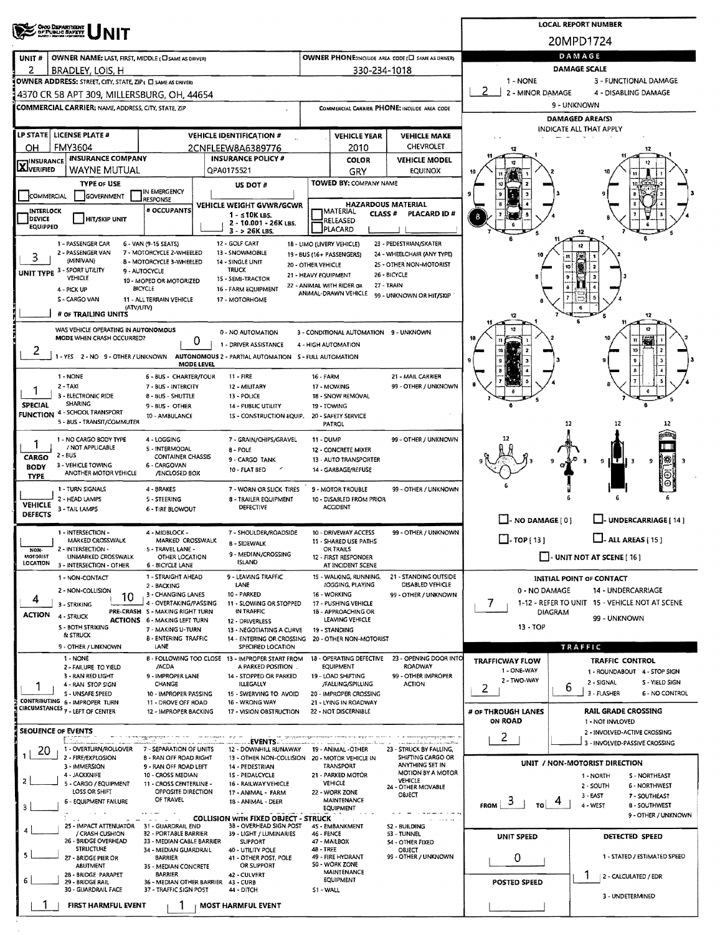| OHO DEPARTMENT<br>OF PUBLIC SAFETY                                                                                         | <b>LOCAL REPORT NUMBER</b>                                             |                                                                     |                                                                                           |                                                                       |                                                |  |  |  |  |  |  |
|----------------------------------------------------------------------------------------------------------------------------|------------------------------------------------------------------------|---------------------------------------------------------------------|-------------------------------------------------------------------------------------------|-----------------------------------------------------------------------|------------------------------------------------|--|--|--|--|--|--|
|                                                                                                                            | 20MPD1724                                                              |                                                                     |                                                                                           |                                                                       |                                                |  |  |  |  |  |  |
| OWNER NAME: LAST, FIRST, MIDDLE (CI SAME AS DRIVER)<br>UNIT#                                                               | DAMAGE                                                                 |                                                                     |                                                                                           |                                                                       |                                                |  |  |  |  |  |  |
| 2<br>BRADLEY, LOIS, H                                                                                                      | 330-234-1018                                                           | <b>DAMAGE SCALE</b><br>1 - NONE<br>3 - FUNCTIONAL DAMAGE            |                                                                                           |                                                                       |                                                |  |  |  |  |  |  |
| OWNER ADDRESS: STREET, CITY, STATE, ZIP ( C) SAME AS DRIVER!<br>4370 CR 58 APT 309, MILLERSBURG, OH, 44654                 | 2<br>2 - MINOR DAMAGE                                                  | 4 - DISABLING DAMAGE                                                |                                                                                           |                                                                       |                                                |  |  |  |  |  |  |
| COMMERCIAL CARRIER: NAME, ADDRESS, CITY, STATE, ZIP                                                                        |                                                                        | COMMERCIAL CARRIER PHONE: INCLUDE AREA CODE                         |                                                                                           | 9 - UNKNOWN                                                           |                                                |  |  |  |  |  |  |
|                                                                                                                            |                                                                        | DAMAGED AREA(S)                                                     |                                                                                           |                                                                       |                                                |  |  |  |  |  |  |
| LP STATE   LICENSE PLATE #<br><b>VEHICLE IDENTIFICATION #</b>                                                              |                                                                        | <b>VEHICLE YEAR</b>                                                 | <b>VEHICLE MAKE</b>                                                                       | <b>INDICATE ALL THAT APPLY</b>                                        |                                                |  |  |  |  |  |  |
| <b>FMY3604</b><br>OН<br>2CNFLEEW8A6389776                                                                                  |                                                                        | 2010                                                                | <b>CHEVROLET</b>                                                                          |                                                                       |                                                |  |  |  |  |  |  |
| <b>INSURANCE COMPANY</b><br><b>INSURANCE</b><br><b>X</b> VERIFIED<br>WAYNE MUTUAL<br>QPA0175521                            | <b>INSURANCE POLICY #</b>                                              | COLOR                                                               | <b>VEHICLE MODEL</b><br><b>EQUINOX</b>                                                    |                                                                       |                                                |  |  |  |  |  |  |
| <b>TYPE OF USE</b>                                                                                                         | US DOT #                                                               | GRY<br>TOWED BY: COMPANY NAME                                       |                                                                                           |                                                                       |                                                |  |  |  |  |  |  |
| IN EMERGENCY<br>COMMERCIAL<br>GOVERNMENT<br>RESPONSE                                                                       |                                                                        |                                                                     |                                                                                           |                                                                       |                                                |  |  |  |  |  |  |
| # OCCUPANTS<br>INTERLOCK                                                                                                   | <b>VEHICLE WEIGHT GVWR/GCWR</b><br>1 - s10K LBS.                       | <b>HAZARDOUS MATERIAL</b><br><b>IMATERIAL</b><br>CLASS <sup>#</sup> | PLACARD ID#                                                                               |                                                                       |                                                |  |  |  |  |  |  |
| DEVICE<br><b>HIT/SKIP UNIT</b><br><b>EQUIPPED</b>                                                                          | 2 - 10.001 - 26K LBS.<br>$3 - 26K$ LBS.                                | RELEASED<br><b>IPLACARD</b>                                         |                                                                                           |                                                                       |                                                |  |  |  |  |  |  |
| 1 - PASSENGER CAR<br>6 - VAN (9-15 SEATS)                                                                                  | 12 - GOLF CART<br>18 - LIMO (LIVERY VEHICLE)                           |                                                                     | 23 - PEDESTRIAN/SKATER                                                                    |                                                                       |                                                |  |  |  |  |  |  |
| 7 - MOTORCYCLE 2-WHEELED<br>2 - PASSENGER VAN<br>3<br>(MINIVAN)<br><b>B - MOTORCYCLE 3-WHEELED</b>                         | 13 - SNOWMOBILE<br>19 - BUS (16+ PASSENGERS)<br>14 - SINGLE UNIT       |                                                                     | 24 - WHEELCHAIR (ANY TYPE)                                                                |                                                                       | $^{\ast}$                                      |  |  |  |  |  |  |
| UNIT TYPE 3 - SPORT UTILITY<br>9 - AUTOCYCLE                                                                               | 20 - OTHER VEHICLE<br>TRUCK<br>21 - HEAVY EQUIPMENT                    |                                                                     | 25 - OTHER NON-MOTORIST<br>26 - BICYCLE                                                   |                                                                       | 10                                             |  |  |  |  |  |  |
| VEHICLE<br>10 - MOPED OR MOTORIZED<br><b>BICYCLE</b><br>4 - PICK UP                                                        | 15 - SEMI-TRACTOR<br>22 - ANIMAL WITH RIDER OR<br>16 - FARM EQUIPMENT  | 27 - TRAIN                                                          |                                                                                           |                                                                       |                                                |  |  |  |  |  |  |
| S - CARGO VAN<br>11 - ALL TERRAIN VEHICLE                                                                                  | 17 - MOTORHOME                                                         | ANIMAL-DRAWN VEHICLE                                                | 99 - UNKNOWN OR HIT/SKIP                                                                  |                                                                       | 6                                              |  |  |  |  |  |  |
| (ATV/UTV)<br># OF TRAILING UNITS                                                                                           |                                                                        |                                                                     |                                                                                           |                                                                       | 12                                             |  |  |  |  |  |  |
| WAS VEHICLE OPERATING IN AUTONOMOUS<br><b>MODE WHEN CRASH OCCURRED?</b>                                                    | 0 - NO AUTOMATION                                                      | 3 - CONDITIONAL AUTOMATION 9 - UNKNOWN                              |                                                                                           |                                                                       | 12                                             |  |  |  |  |  |  |
| 0<br>2                                                                                                                     | 1 - DRIVER ASSISTANCE<br>4 - HIGH AUTOMATION                           |                                                                     |                                                                                           |                                                                       | W<br>10                                        |  |  |  |  |  |  |
| 1 - YES 2 - NO 9 - OTHER / UNKNOWN<br>MODE LEVEL                                                                           | AUTONOMOUS 2 - PARTIAL AUTOMATION 5 - FULL AUTOMATION                  |                                                                     |                                                                                           |                                                                       | 9                                              |  |  |  |  |  |  |
| 1 - NONE<br>6 - BUS - CHARTER/TOUR                                                                                         | $11 - FIRE$<br>16 - FARM                                               |                                                                     | 21 - MAIL CARRIER                                                                         |                                                                       | ã                                              |  |  |  |  |  |  |
| $2 - TAXI$<br>7 - BUS - INTERCITY<br>3 - ELECTRONIC RIDE<br>8 - BUS - SHUTTLE                                              | 12 - MILITARY<br>13 - POLICE                                           | 17 - MOWING<br>18 - SNOW REMOVAL                                    | 99 - OTHER / UNKNOWN                                                                      |                                                                       |                                                |  |  |  |  |  |  |
| <b>SHARING</b><br><b>SPECIAL</b><br>9 - BUS - OTHER<br>14 - PUBLIC UTILITY<br><b>FUNCTION 4 - SCHOOL TRANSPORT</b>         |                                                                        |                                                                     |                                                                                           |                                                                       |                                                |  |  |  |  |  |  |
| 10 - AMBULANCE<br>1S - CONSTRUCTION EQUIP.<br>5 - BUS - TRANSIT/COMMUTER                                                   |                                                                        |                                                                     | 12<br>12<br>12                                                                            |                                                                       |                                                |  |  |  |  |  |  |
| 1 - NO CARGO BODY TYPE<br>4 - LOGGING                                                                                      | 7 - GRAIN/CHIPS/GRAVEL<br>11 - DUMP                                    |                                                                     | 99 - OTHER / UNKNOWN                                                                      |                                                                       |                                                |  |  |  |  |  |  |
| 1<br>/ NOT APPLICABLE<br>5 - INTERMODAL<br>2 - BUS<br>CARGO<br><b>CONTAINER CHASSIS</b>                                    | 8 - POLE                                                               | 12 - CONCRETE MIXER                                                 |                                                                                           |                                                                       |                                                |  |  |  |  |  |  |
| 3 - VEHICLE TOWING<br>6 - CARGOVAN<br><b>BODY</b><br>ANOTHER MOTOR VEHICLE<br>/ENCLOSED BOX                                | 9 - CARGO TANK<br>$\overline{\phantom{a}}$<br>10 - FLAT BED            | 13 - AUTO TRANSPORTER<br>14 - GARBAGE/REFUSE                        |                                                                                           |                                                                       | 193<br>$9$ ITH 3<br>э<br>Э<br>9                |  |  |  |  |  |  |
| <b>TYPE</b><br>1 - TURN SIGNALS<br>4 - BRAKES                                                                              |                                                                        |                                                                     |                                                                                           |                                                                       |                                                |  |  |  |  |  |  |
| 2 - HEAD LAMPS<br>5 - STEERING                                                                                             | 7 - WORN OR SLICK TIRES<br>8 - TRAILER EQUIPMENT                       | 9 - MOTOR TROUBLE<br>10 - DISABLED FROM PRIOR                       | 99 - OTHER / UNKNOWN                                                                      |                                                                       |                                                |  |  |  |  |  |  |
| <b>VEHICLE</b><br>3 - TAIL LAMPS<br><b>6 - TIRE BLOWOUT</b><br><b>DEFECTS</b>                                              | <b>DEFECTIVE</b><br><b>ACCIDENT</b>                                    |                                                                     | $\Box$ - NO DAMAGE $[0]$                                                                  | - UNDERCARRIAGE [ 14 ]                                                |                                                |  |  |  |  |  |  |
| 1 - INTERSECTION -<br>4 - MIDBLOCK -                                                                                       | 7 - SHOULDER/ROADSIDE                                                  | 10 - DRIVEWAY ACCESS                                                | 99 - OTHER / UNKNOWN                                                                      |                                                                       |                                                |  |  |  |  |  |  |
| MARKED CROSSWALK<br>MARKED CROSSWALK<br>2 - INTERSECTION -<br>5 - TRAVEL LANE -<br>NON-                                    | <b>B - SIDEWALK</b>                                                    | 11 - SHARED USE PATHS<br>OR TRAILS                                  |                                                                                           | $\square$ . TOP [ 13 ]<br>ALL AREAS [ 15 ]                            |                                                |  |  |  |  |  |  |
| <b>MOTORIST</b><br><b>UNMARKED CROSSWALK</b><br>OTHER LOCATION<br>LOCATION<br>3 - INTERSECTION - OTHER<br>6 - BICYCLE LANE | 9 - MEDIAN/CROSSING<br>ISLAND                                          | 12 - FIRST RESPONDER<br>AT INCIDENT SCENE                           |                                                                                           |                                                                       | $\Box$ - UNIT NOT AT SCENE [ 16 ]              |  |  |  |  |  |  |
| 1 - STRAIGHT AHEAD<br>1 - NON-CONTACT                                                                                      | 9 - LEAVING TRAFFIC                                                    | 15 - WALKING, RUNNING,                                              | 21 - STANDING OUTSIDE                                                                     |                                                                       | INITIAL POINT OF CONTACT                       |  |  |  |  |  |  |
| 2 - BACKING<br>2 - NON-COLLISION<br>3 - CHANGING LANES<br>10                                                               | LANE<br>10 - PARKED                                                    | JOGGING, PLAYING<br>16 - WORKING                                    | DISABLED VEHICLE<br>99 - OTHER / UNKNOWN                                                  | 0 - NO DAMAGE<br>14 - UNDERCARRIAGE                                   |                                                |  |  |  |  |  |  |
| 4<br>4 - OVERTAKING/PASSING<br>3 - STRIKING<br>PRE-CRASH S - MAKING RIGHT TURN                                             | 11 - SLOWING OR STOPPED<br>IN TRAFFIC                                  | 17 - PUSHING VEHICLE<br>18 - APPROACHING OR                         |                                                                                           | 1-12 - REFER TO UNIT 15 - VEHICLE NOT AT SCENE<br>7<br><b>DIAGRAM</b> |                                                |  |  |  |  |  |  |
| <b>ACTION</b><br>4 - STRUCK<br><b>ACTIONS</b> 6 - MAKING LEFT TURN<br>S - BOTH STRIKING                                    | 12 - DRIVERLESS                                                        | LEAVING VEHICLE                                                     |                                                                                           | 13 - TOP                                                              | 99 - UNKNOWN                                   |  |  |  |  |  |  |
| 7 - MAKING U-TURN<br>& STRUCK<br><b>B-ENTERING TRAFFIC</b>                                                                 | 13 - NEGOTIATING A CURVE<br>14 - ENTERING OR CROSSING                  | 19 - STANDING<br>20 - OTHER NON-MOTORIST                            |                                                                                           |                                                                       |                                                |  |  |  |  |  |  |
| 9 - OTHER / UNKNOWN<br>LANE<br>1 - NONE<br>8 - FOLLOWING TOO CLOSE 13 - IMPROPER START FROM                                | SPECIFIED LOCATION                                                     | 18 - OPERATING DEFECTIVE                                            | 23 - OPENING DOOR INTO                                                                    | TRAFFIC<br><b>TRAFFIC CONTROL</b>                                     |                                                |  |  |  |  |  |  |
| /ACDA<br>2 - FAILURE TO YIELD<br>3 - RAN RED LIGHT                                                                         | A PARKED POSITION.                                                     | EQUIPMENT                                                           | ROADWAY<br>99 - OTHER IMPROPER                                                            | <b>TRAFFICWAY FLOW</b><br>1 - ONE-WAY                                 | 1 - ROUNDABOUT 4 - STOP SIGN                   |  |  |  |  |  |  |
| 9 - IMPROPER LANE<br>4 - RAN STOP SIGN<br>CHANGE                                                                           | 14 - STOPPED OR PARKED<br><b>ILLEGALLY</b>                             | 19 - LOAD SHIFTING<br>/FALLING/SPILLING                             | <b>ACTION</b>                                                                             | 2 - TWO-WAY<br>2                                                      | 2 - SIGNAL<br>S - YIELD SIGN<br>6              |  |  |  |  |  |  |
| S - UNSAFE SPEED<br>10 - IMPROPER PASSING<br>CONTRIBUTING 6 - IMPROPER TURN<br>11 - DROVE OFF ROAD                         | 15 - SWERVING TO AVOID<br>16 - WRONG WAY                               | 20 - IMPROPER CROSSING<br>21 - LYING IN ROADWAY                     |                                                                                           |                                                                       | 3 - FLASHER<br>6 - NO CONTROL                  |  |  |  |  |  |  |
| CIRCUMSTANCES 7 - LEFT OF CENTER<br>12 - IMPROPER BACKING                                                                  | 17 - VISION OBSTRUCTION                                                | 22 - NOT DISCERNIBLE                                                |                                                                                           | # OF THROUGH LANES<br><b>ON ROAD</b>                                  | <b>RAIL GRADE CROSSING</b><br>1 - NOT INVLOVED |  |  |  |  |  |  |
| SEOUENCE OF EVENTS                                                                                                         |                                                                        |                                                                     |                                                                                           |                                                                       | 2 - INVOLVED-ACTIVE CROSSING                   |  |  |  |  |  |  |
| balan kacamatan<br>1 - OVERTURN/ROLLOVER<br>7 - SEPARATION OF UNITS<br>20                                                  | 12 - DOWNHILL RUNAWAY                                                  | 19 - ANIMAL -OTHER                                                  | n en sema di tertauturi uni sosialism<br>23 - STRUCK BY FALLING,                          | $\mathbf{2}$                                                          | 3 - INVOLVED-PASSIVE CROSSING                  |  |  |  |  |  |  |
| 2 - FIRE/EXPLOSION<br><b>B - RAN OFF ROAD RIGHT</b><br>3 - IMMERSION<br>9 - RAN OFF ROAD LEFT                              | 13 - OTHER NON-COLLISION 20 - MOTOR VEHICLE IN<br>14 - PEDESTRIAN      | TRANSPORT                                                           | SHIFTING CARGO OR<br>ANYTHING SET IN                                                      |                                                                       | UNIT / NON-MOTORIST DIRECTION                  |  |  |  |  |  |  |
| 4 - JACKKNIFE<br>10 - CROSS MEDIAN<br>2<br>5 - CARGO / EQUIPMENT                                                           | 15 - PEDALCYCLE                                                        | 21 - PARKED MOTOR<br><b>VEHICLE</b>                                 | MOTION BY A MOTOR<br>VEHICLE                                                              |                                                                       | S - NORTHEAST<br>1 - NORTH                     |  |  |  |  |  |  |
| 11 - CROSS CENTERLINE -<br>LOSS OR SHIFT<br>OPPOSITE DIRECTION                                                             | 16 - RAILWAY VEHICLE<br>17 - ANIMAL - FARM                             | 22 - WORK ZONE                                                      | 2 - SOUTH<br>6 - NORTHWEST<br>24 - OTHER MOVABLE<br>OBJECT<br>$3 - EAST$<br>7 - SOUTHEAST |                                                                       |                                                |  |  |  |  |  |  |
| OF TRAVEL<br>6 - EQUIPMENT FAILURE<br>3                                                                                    | 18 - ANIMAL - DEER                                                     | MAINTENANCE<br>EQUIPMENT                                            |                                                                                           | 3<br>FROM  <br>TO                                                     | 4 - WEST<br>8 - SOUTHWEST                      |  |  |  |  |  |  |
| 25 - IMPACT ATTENUATOR 31 - GUARDRAIL END                                                                                  | <b>COLLISION WITH FIXED OBJECT - STRUCK</b><br>38 - OVERHEAD SIGN POST | 45 - EMBANKMENT                                                     | S2 - BUILDING                                                                             |                                                                       | 9 - OTHER / UNKNOWN                            |  |  |  |  |  |  |
| / CRASH CUSHION<br>32 - PORTABLE BARRIER<br>26 - BRIDGE OVERHEAD<br>33 - MEDIAN CABLE BARRIER                              | 39 - LIGHT / LUMINARIES<br>46 FENCE<br><b>SUPPORT</b>                  | 47 - MAILBOX                                                        | 53 - TUNNEL<br>54 - OTHER FIXED                                                           | <b>UNIT SPEED</b>                                                     | DETECTED SPEED                                 |  |  |  |  |  |  |
| <b>STRUCTURE</b><br>34 - MEDIAN GUARDRAIL<br>27 - 8RIDGE PIER OR<br>BARRIER                                                | 48 - TREE<br>40 - UTILITY POLE<br>41 - OTHER POST, POLE                | 49 - FIRE HYDRANT                                                   | OBJECT<br>99 - OTHER / UNKNOWN                                                            | 0                                                                     | 1 - STATED / ESTIMATED SPEED                   |  |  |  |  |  |  |
| ABUTMENT<br>35 - MEDIAN CONCRETE<br><b>BARRIER</b><br>28 - BRIDGE PARAPET                                                  | OR SUPPORT<br>42 - CULVERT                                             | S0 - WORK ZONE<br><b>MAINTENANCE</b>                                |                                                                                           | 1                                                                     |                                                |  |  |  |  |  |  |
| 29 - BRIDGE RAIL<br>36 - MEDIAN OTHER BARRIER<br>43 - CURB<br>30 - GUARDRAIL FACE<br>37 - TRAFFIC SIGN POST                |                                                                        | <b>POSTED SPEED</b>                                                 | 2 - CALCULATED / EDR                                                                      |                                                                       |                                                |  |  |  |  |  |  |
| 44 - DITCH                                                                                                                 |                                                                        |                                                                     | 3 - UNDETERMINED                                                                          |                                                                       |                                                |  |  |  |  |  |  |
| <b>FIRST HARMFUL EVENT</b>                                                                                                 | <b>MOST HARMFUL EVENT</b>                                              |                                                                     |                                                                                           |                                                                       |                                                |  |  |  |  |  |  |